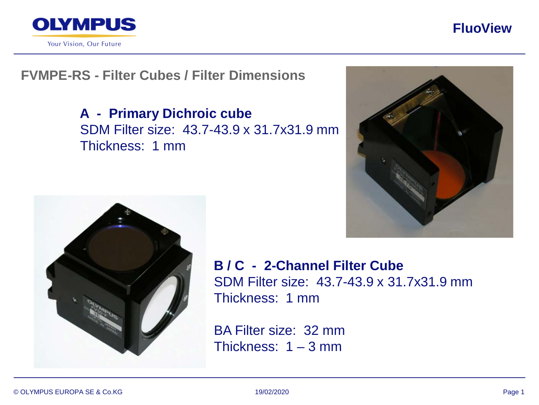

Your Vision, Our Future

## **FluoView**

# **FVMPE-RS - Filter Cubes / Filter Dimensions**

**A - Primary Dichroic cube** SDM Filter size: 43.7-43.9 x 31.7x31.9 mm Thickness: 1 mm





**B / C - 2-Channel Filter Cube** SDM Filter size: 43.7-43.9 x 31.7x31.9 mm Thickness: 1 mm

BA Filter size: 32 mm Thickness: 1 – 3 mm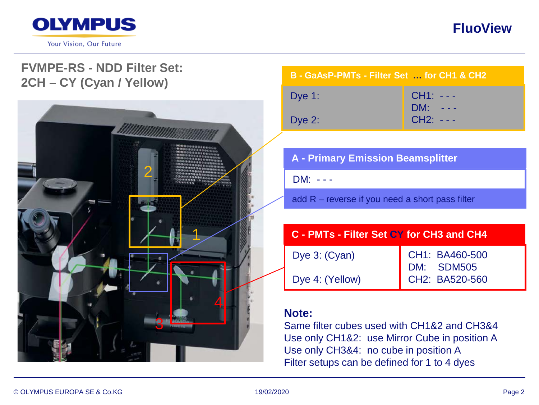

# **FVMPE-RS - NDD Filter Set: 2CH – CY (Cyan / Yellow)**



#### **B - GaAsP-PMTs - Filter Set … for CH1 & CH2**

| Dye $1:$  | $CH1: - -$<br>$DM: - - -$ |
|-----------|---------------------------|
| Dye $2$ : | $CH2: - - -$              |

# **A - Primary Emission Beamsplitter**

DM: - - -

add R – reverse if you need a short pass filter

# **C - PMTs - Filter Set CY for CH3 and CH4** Dye 3: (Cyan)

Dye 4: (Yellow)

CH1: BA460-500 DM: SDM505 CH2: BA520-560

#### **Note:**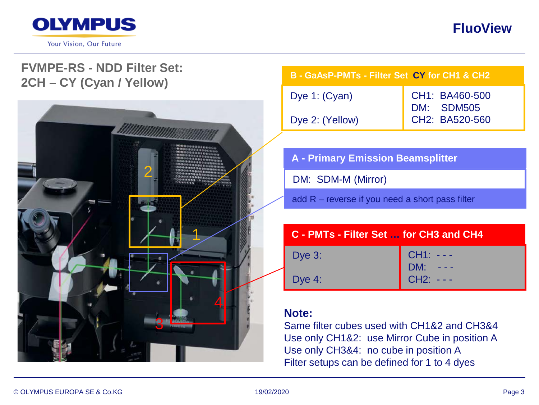

# **FVMPE-RS - NDD Filter Set: 2CH – CY (Cyan / Yellow)**



| B - GaAsP-PMTs - Filter Set CY for CH1 & CH2 |                |
|----------------------------------------------|----------------|
| Dye 1: (Cyan)                                | CH1: BA460-500 |
| Dye 2: (Yellow)                              | CH2: BA520-560 |

| <b>A</b> - Primary Emission Beamsplitter |  |
|------------------------------------------|--|
| DM: SDM-M (Mirror)                       |  |

add R – reverse if you need a short pass filter

| C - PMTs - Filter Set  for CH3 and CH4 |                                 |
|----------------------------------------|---------------------------------|
| Dye $3$ :                              |                                 |
| Dye 4:                                 | CH1: ---<br>DM: ---<br>CH2: --- |

## **Note:**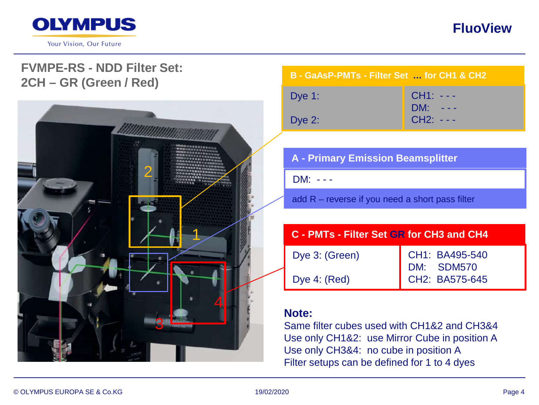

## **FVMPE-RS - NDD Filter Set: 2CH – GR (Green / Red)**



#### **B - GaAsP-PMTs - Filter Set … for CH1 & CH2**

| Dye $1:$  | $CH1: - -$  |
|-----------|-------------|
|           | $DM: - - -$ |
| Dye $2$ : | $CH2: - -$  |

## **A - Primary Emission Beamsplitter**

DM: - - -

add R – reverse if you need a short pass filter

# **C - PMTs - Filter Set GR for CH3 and CH4**

| Dye 3: (Green) | <b>CH</b> |
|----------------|-----------|
|                | <b>DN</b> |
| Dye 4: (Red)   | CH        |

CH1: BA495-540  $A:$  SDM570  $P: RAS75-645$ 

## **Note:**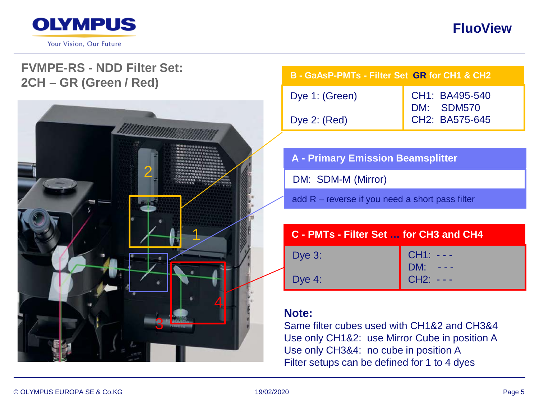

## **FVMPE-RS - NDD Filter Set: 2CH – GR (Green / Red)**



| B - GaAsP-PMTs - Filter Set GR for CH1 & CH2 |                                                |
|----------------------------------------------|------------------------------------------------|
| Dye 1: (Green)                               | CH1: BA495-540<br>DM: SDM570<br>CH2: BA575-645 |
| Dye $2: (Red)$                               |                                                |

| A - Primary Emission Beamsplitter |
|-----------------------------------|
| DM: SDM-M (Mirror)                |

add R – reverse if you need a short pass filter

| C - PMTs - Filter Set  for CH3 and CH4 |                                 |
|----------------------------------------|---------------------------------|
| Dye $3:$                               | CH1: ---<br>DM: ---<br>CH2: --- |
| Dye $4:$                               |                                 |

## **Note:**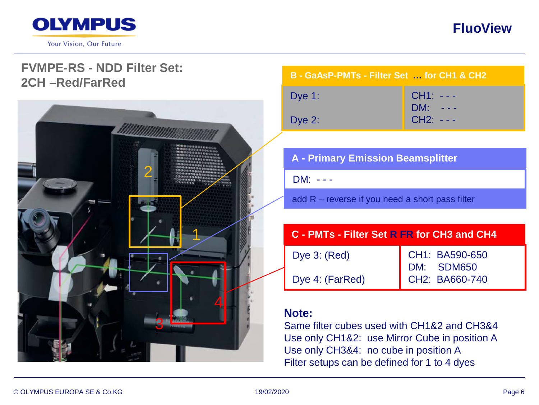

Your Vision, Our Future

# **FluoView**

## **FVMPE-RS - NDD Filter Set: 2CH –Red/FarRed**



#### **B - GaAsP-PMTs - Filter Set … for CH1 & CH2**

| Dye $1:$ | $CH1: - - -$<br>$DM: - - -$ |
|----------|-----------------------------|
| Dye 2:   | $CH2: - - -$                |

## **A - Primary Emission Beamsplitter**

DM: - - -

add R – reverse if you need a short pass filter

## **C - PMTs - Filter Set R FR for CH3 and CH4**

Dye 3: (Red) Dye 4: (FarRed)

CH1: BA590-650 DM: SDM650 CH2: BA660-740

## **Note:**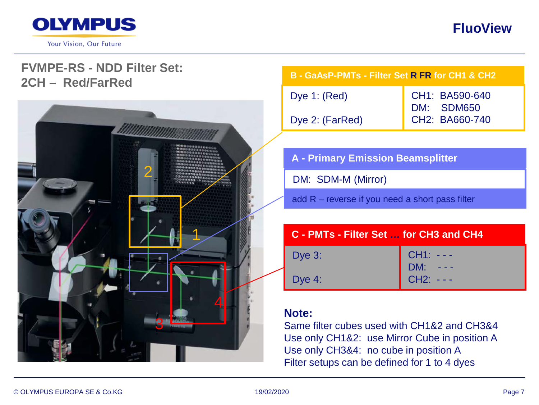

Your Vision, Our Future

# **FluoView**

## **FVMPE-RS - NDD Filter Set: 2CH – Red/FarRed**



# **B - GaAsP-PMTs - Filter Set R FR for CH1 & CH2**

| Dye 1: $(Red)$  | CH1: BA590-640 |
|-----------------|----------------|
|                 | DM: SDM650     |
| Dye 2: (FarRed) | CH2: BA660-740 |

### **A - Primary Emission Beamsplitter**

DM: SDM-M (Mirror)

add R – reverse if you need a short pass filter

| C - PMTs - Filter Set  for CH3 and CH4 |                                 |
|----------------------------------------|---------------------------------|
| Dye 3:                                 |                                 |
| Dye 4:                                 | CH1: ---<br>DM: ---<br>CH2: --- |

## **Note:**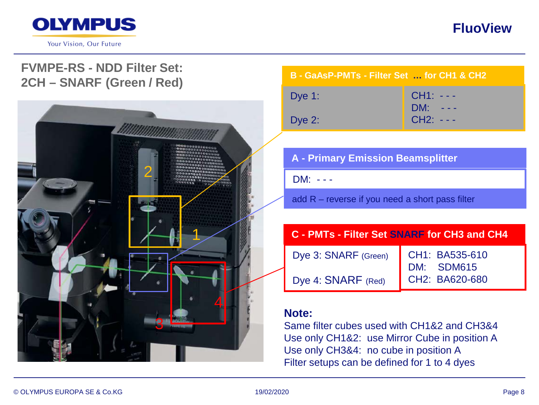

## **FVMPE-RS - NDD Filter Set: 2CH – SNARF (Green / Red)**



#### **B - GaAsP-PMTs - Filter Set … for CH1 & CH2**

| Dye $1:$ | $CH1: - -$ |
|----------|------------|
|          | DM: ---    |
| Dye $2:$ | $CH2: - -$ |

## **A - Primary Emission Beamsplitter**

DM: - - -

add R – reverse if you need a short pass filter

### **C - PMTs - Filter Set SNARF for CH3 and CH4**

Dye 3: SNARF (Green) Dye 4: SNARF (Red)

CH1: BA535-610 DM: SDM615 CH2: BA620-680

#### **Note:**